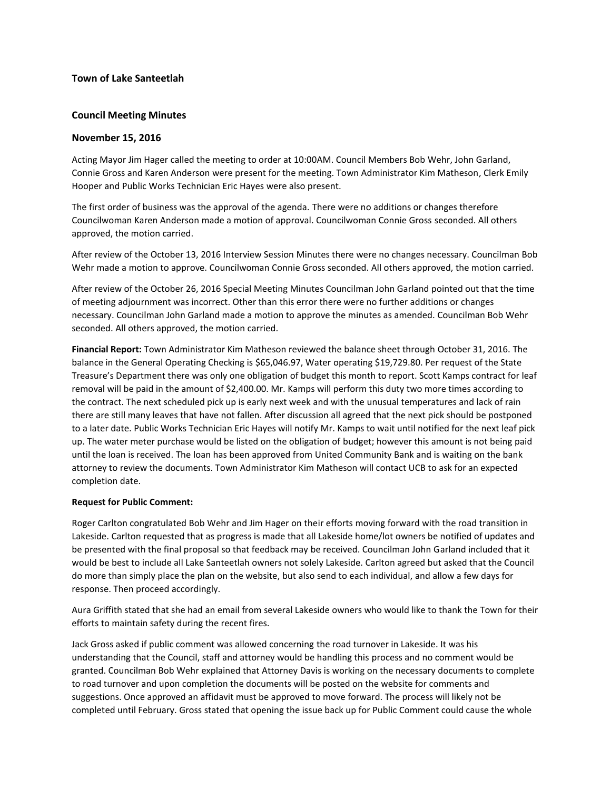# **Town of Lake Santeetlah**

# **Council Meeting Minutes**

# **November 15, 2016**

Acting Mayor Jim Hager called the meeting to order at 10:00AM. Council Members Bob Wehr, John Garland, Connie Gross and Karen Anderson were present for the meeting. Town Administrator Kim Matheson, Clerk Emily Hooper and Public Works Technician Eric Hayes were also present.

The first order of business was the approval of the agenda. There were no additions or changes therefore Councilwoman Karen Anderson made a motion of approval. Councilwoman Connie Gross seconded. All others approved, the motion carried.

After review of the October 13, 2016 Interview Session Minutes there were no changes necessary. Councilman Bob Wehr made a motion to approve. Councilwoman Connie Gross seconded. All others approved, the motion carried.

After review of the October 26, 2016 Special Meeting Minutes Councilman John Garland pointed out that the time of meeting adjournment was incorrect. Other than this error there were no further additions or changes necessary. Councilman John Garland made a motion to approve the minutes as amended. Councilman Bob Wehr seconded. All others approved, the motion carried.

**Financial Report:** Town Administrator Kim Matheson reviewed the balance sheet through October 31, 2016. The balance in the General Operating Checking is \$65,046.97, Water operating \$19,729.80. Per request of the State Treasure's Department there was only one obligation of budget this month to report. Scott Kamps contract for leaf removal will be paid in the amount of \$2,400.00. Mr. Kamps will perform this duty two more times according to the contract. The next scheduled pick up is early next week and with the unusual temperatures and lack of rain there are still many leaves that have not fallen. After discussion all agreed that the next pick should be postponed to a later date. Public Works Technician Eric Hayes will notify Mr. Kamps to wait until notified for the next leaf pick up. The water meter purchase would be listed on the obligation of budget; however this amount is not being paid until the loan is received. The loan has been approved from United Community Bank and is waiting on the bank attorney to review the documents. Town Administrator Kim Matheson will contact UCB to ask for an expected completion date.

### **Request for Public Comment:**

Roger Carlton congratulated Bob Wehr and Jim Hager on their efforts moving forward with the road transition in Lakeside. Carlton requested that as progress is made that all Lakeside home/lot owners be notified of updates and be presented with the final proposal so that feedback may be received. Councilman John Garland included that it would be best to include all Lake Santeetlah owners not solely Lakeside. Carlton agreed but asked that the Council do more than simply place the plan on the website, but also send to each individual, and allow a few days for response. Then proceed accordingly.

Aura Griffith stated that she had an email from several Lakeside owners who would like to thank the Town for their efforts to maintain safety during the recent fires.

Jack Gross asked if public comment was allowed concerning the road turnover in Lakeside. It was his understanding that the Council, staff and attorney would be handling this process and no comment would be granted. Councilman Bob Wehr explained that Attorney Davis is working on the necessary documents to complete to road turnover and upon completion the documents will be posted on the website for comments and suggestions. Once approved an affidavit must be approved to move forward. The process will likely not be completed until February. Gross stated that opening the issue back up for Public Comment could cause the whole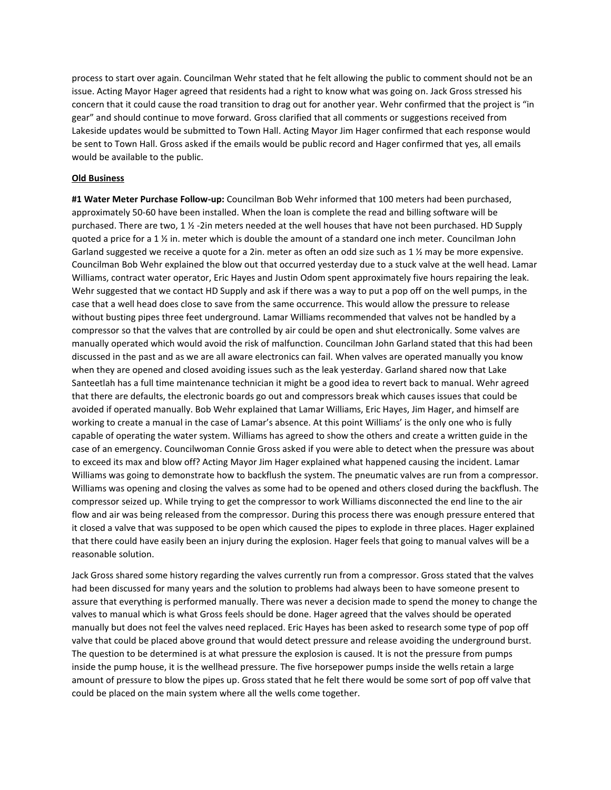process to start over again. Councilman Wehr stated that he felt allowing the public to comment should not be an issue. Acting Mayor Hager agreed that residents had a right to know what was going on. Jack Gross stressed his concern that it could cause the road transition to drag out for another year. Wehr confirmed that the project is "in gear" and should continue to move forward. Gross clarified that all comments or suggestions received from Lakeside updates would be submitted to Town Hall. Acting Mayor Jim Hager confirmed that each response would be sent to Town Hall. Gross asked if the emails would be public record and Hager confirmed that yes, all emails would be available to the public.

#### **Old Business**

**#1 Water Meter Purchase Follow-up:** Councilman Bob Wehr informed that 100 meters had been purchased, approximately 50-60 have been installed. When the loan is complete the read and billing software will be purchased. There are two, 1 ½ -2in meters needed at the well houses that have not been purchased. HD Supply quoted a price for a 1 ½ in. meter which is double the amount of a standard one inch meter. Councilman John Garland suggested we receive a quote for a 2in. meter as often an odd size such as 1 ½ may be more expensive. Councilman Bob Wehr explained the blow out that occurred yesterday due to a stuck valve at the well head. Lamar Williams, contract water operator, Eric Hayes and Justin Odom spent approximately five hours repairing the leak. Wehr suggested that we contact HD Supply and ask if there was a way to put a pop off on the well pumps, in the case that a well head does close to save from the same occurrence. This would allow the pressure to release without busting pipes three feet underground. Lamar Williams recommended that valves not be handled by a compressor so that the valves that are controlled by air could be open and shut electronically. Some valves are manually operated which would avoid the risk of malfunction. Councilman John Garland stated that this had been discussed in the past and as we are all aware electronics can fail. When valves are operated manually you know when they are opened and closed avoiding issues such as the leak yesterday. Garland shared now that Lake Santeetlah has a full time maintenance technician it might be a good idea to revert back to manual. Wehr agreed that there are defaults, the electronic boards go out and compressors break which causes issues that could be avoided if operated manually. Bob Wehr explained that Lamar Williams, Eric Hayes, Jim Hager, and himself are working to create a manual in the case of Lamar's absence. At this point Williams' is the only one who is fully capable of operating the water system. Williams has agreed to show the others and create a written guide in the case of an emergency. Councilwoman Connie Gross asked if you were able to detect when the pressure was about to exceed its max and blow off? Acting Mayor Jim Hager explained what happened causing the incident. Lamar Williams was going to demonstrate how to backflush the system. The pneumatic valves are run from a compressor. Williams was opening and closing the valves as some had to be opened and others closed during the backflush. The compressor seized up. While trying to get the compressor to work Williams disconnected the end line to the air flow and air was being released from the compressor. During this process there was enough pressure entered that it closed a valve that was supposed to be open which caused the pipes to explode in three places. Hager explained that there could have easily been an injury during the explosion. Hager feels that going to manual valves will be a reasonable solution.

Jack Gross shared some history regarding the valves currently run from a compressor. Gross stated that the valves had been discussed for many years and the solution to problems had always been to have someone present to assure that everything is performed manually. There was never a decision made to spend the money to change the valves to manual which is what Gross feels should be done. Hager agreed that the valves should be operated manually but does not feel the valves need replaced. Eric Hayes has been asked to research some type of pop off valve that could be placed above ground that would detect pressure and release avoiding the underground burst. The question to be determined is at what pressure the explosion is caused. It is not the pressure from pumps inside the pump house, it is the wellhead pressure. The five horsepower pumps inside the wells retain a large amount of pressure to blow the pipes up. Gross stated that he felt there would be some sort of pop off valve that could be placed on the main system where all the wells come together.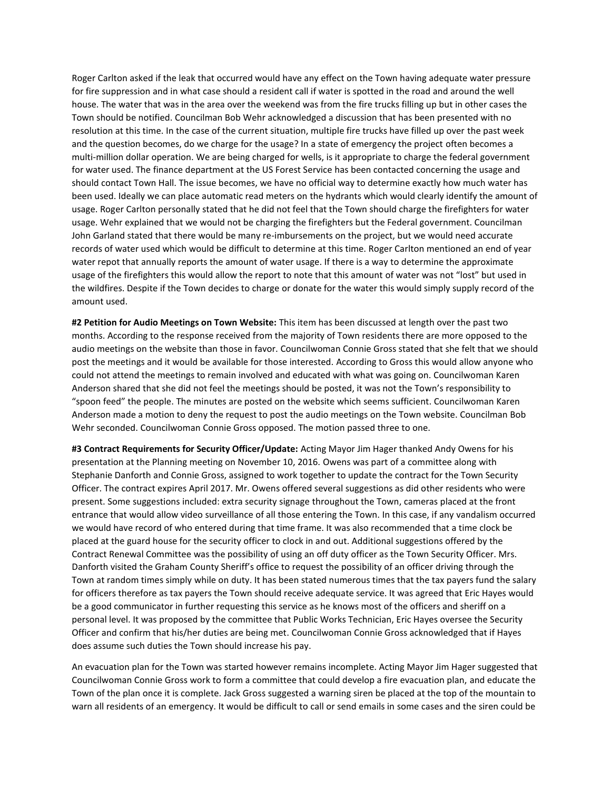Roger Carlton asked if the leak that occurred would have any effect on the Town having adequate water pressure for fire suppression and in what case should a resident call if water is spotted in the road and around the well house. The water that was in the area over the weekend was from the fire trucks filling up but in other cases the Town should be notified. Councilman Bob Wehr acknowledged a discussion that has been presented with no resolution at this time. In the case of the current situation, multiple fire trucks have filled up over the past week and the question becomes, do we charge for the usage? In a state of emergency the project often becomes a multi-million dollar operation. We are being charged for wells, is it appropriate to charge the federal government for water used. The finance department at the US Forest Service has been contacted concerning the usage and should contact Town Hall. The issue becomes, we have no official way to determine exactly how much water has been used. Ideally we can place automatic read meters on the hydrants which would clearly identify the amount of usage. Roger Carlton personally stated that he did not feel that the Town should charge the firefighters for water usage. Wehr explained that we would not be charging the firefighters but the Federal government. Councilman John Garland stated that there would be many re-imbursements on the project, but we would need accurate records of water used which would be difficult to determine at this time. Roger Carlton mentioned an end of year water repot that annually reports the amount of water usage. If there is a way to determine the approximate usage of the firefighters this would allow the report to note that this amount of water was not "lost" but used in the wildfires. Despite if the Town decides to charge or donate for the water this would simply supply record of the amount used.

**#2 Petition for Audio Meetings on Town Website:** This item has been discussed at length over the past two months. According to the response received from the majority of Town residents there are more opposed to the audio meetings on the website than those in favor. Councilwoman Connie Gross stated that she felt that we should post the meetings and it would be available for those interested. According to Gross this would allow anyone who could not attend the meetings to remain involved and educated with what was going on. Councilwoman Karen Anderson shared that she did not feel the meetings should be posted, it was not the Town's responsibility to "spoon feed" the people. The minutes are posted on the website which seems sufficient. Councilwoman Karen Anderson made a motion to deny the request to post the audio meetings on the Town website. Councilman Bob Wehr seconded. Councilwoman Connie Gross opposed. The motion passed three to one.

**#3 Contract Requirements for Security Officer/Update:** Acting Mayor Jim Hager thanked Andy Owens for his presentation at the Planning meeting on November 10, 2016. Owens was part of a committee along with Stephanie Danforth and Connie Gross, assigned to work together to update the contract for the Town Security Officer. The contract expires April 2017. Mr. Owens offered several suggestions as did other residents who were present. Some suggestions included: extra security signage throughout the Town, cameras placed at the front entrance that would allow video surveillance of all those entering the Town. In this case, if any vandalism occurred we would have record of who entered during that time frame. It was also recommended that a time clock be placed at the guard house for the security officer to clock in and out. Additional suggestions offered by the Contract Renewal Committee was the possibility of using an off duty officer as the Town Security Officer. Mrs. Danforth visited the Graham County Sheriff's office to request the possibility of an officer driving through the Town at random times simply while on duty. It has been stated numerous times that the tax payers fund the salary for officers therefore as tax payers the Town should receive adequate service. It was agreed that Eric Hayes would be a good communicator in further requesting this service as he knows most of the officers and sheriff on a personal level. It was proposed by the committee that Public Works Technician, Eric Hayes oversee the Security Officer and confirm that his/her duties are being met. Councilwoman Connie Gross acknowledged that if Hayes does assume such duties the Town should increase his pay.

An evacuation plan for the Town was started however remains incomplete. Acting Mayor Jim Hager suggested that Councilwoman Connie Gross work to form a committee that could develop a fire evacuation plan, and educate the Town of the plan once it is complete. Jack Gross suggested a warning siren be placed at the top of the mountain to warn all residents of an emergency. It would be difficult to call or send emails in some cases and the siren could be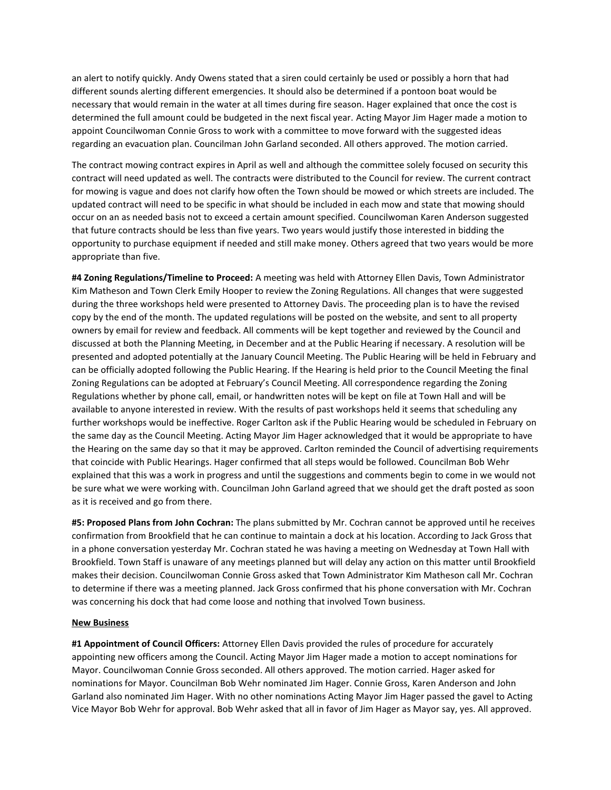an alert to notify quickly. Andy Owens stated that a siren could certainly be used or possibly a horn that had different sounds alerting different emergencies. It should also be determined if a pontoon boat would be necessary that would remain in the water at all times during fire season. Hager explained that once the cost is determined the full amount could be budgeted in the next fiscal year. Acting Mayor Jim Hager made a motion to appoint Councilwoman Connie Gross to work with a committee to move forward with the suggested ideas regarding an evacuation plan. Councilman John Garland seconded. All others approved. The motion carried.

The contract mowing contract expires in April as well and although the committee solely focused on security this contract will need updated as well. The contracts were distributed to the Council for review. The current contract for mowing is vague and does not clarify how often the Town should be mowed or which streets are included. The updated contract will need to be specific in what should be included in each mow and state that mowing should occur on an as needed basis not to exceed a certain amount specified. Councilwoman Karen Anderson suggested that future contracts should be less than five years. Two years would justify those interested in bidding the opportunity to purchase equipment if needed and still make money. Others agreed that two years would be more appropriate than five.

**#4 Zoning Regulations/Timeline to Proceed:** A meeting was held with Attorney Ellen Davis, Town Administrator Kim Matheson and Town Clerk Emily Hooper to review the Zoning Regulations. All changes that were suggested during the three workshops held were presented to Attorney Davis. The proceeding plan is to have the revised copy by the end of the month. The updated regulations will be posted on the website, and sent to all property owners by email for review and feedback. All comments will be kept together and reviewed by the Council and discussed at both the Planning Meeting, in December and at the Public Hearing if necessary. A resolution will be presented and adopted potentially at the January Council Meeting. The Public Hearing will be held in February and can be officially adopted following the Public Hearing. If the Hearing is held prior to the Council Meeting the final Zoning Regulations can be adopted at February's Council Meeting. All correspondence regarding the Zoning Regulations whether by phone call, email, or handwritten notes will be kept on file at Town Hall and will be available to anyone interested in review. With the results of past workshops held it seems that scheduling any further workshops would be ineffective. Roger Carlton ask if the Public Hearing would be scheduled in February on the same day as the Council Meeting. Acting Mayor Jim Hager acknowledged that it would be appropriate to have the Hearing on the same day so that it may be approved. Carlton reminded the Council of advertising requirements that coincide with Public Hearings. Hager confirmed that all steps would be followed. Councilman Bob Wehr explained that this was a work in progress and until the suggestions and comments begin to come in we would not be sure what we were working with. Councilman John Garland agreed that we should get the draft posted as soon as it is received and go from there.

**#5: Proposed Plans from John Cochran:** The plans submitted by Mr. Cochran cannot be approved until he receives confirmation from Brookfield that he can continue to maintain a dock at his location. According to Jack Gross that in a phone conversation yesterday Mr. Cochran stated he was having a meeting on Wednesday at Town Hall with Brookfield. Town Staff is unaware of any meetings planned but will delay any action on this matter until Brookfield makes their decision. Councilwoman Connie Gross asked that Town Administrator Kim Matheson call Mr. Cochran to determine if there was a meeting planned. Jack Gross confirmed that his phone conversation with Mr. Cochran was concerning his dock that had come loose and nothing that involved Town business.

### **New Business**

**#1 Appointment of Council Officers:** Attorney Ellen Davis provided the rules of procedure for accurately appointing new officers among the Council. Acting Mayor Jim Hager made a motion to accept nominations for Mayor. Councilwoman Connie Gross seconded. All others approved. The motion carried. Hager asked for nominations for Mayor. Councilman Bob Wehr nominated Jim Hager. Connie Gross, Karen Anderson and John Garland also nominated Jim Hager. With no other nominations Acting Mayor Jim Hager passed the gavel to Acting Vice Mayor Bob Wehr for approval. Bob Wehr asked that all in favor of Jim Hager as Mayor say, yes. All approved.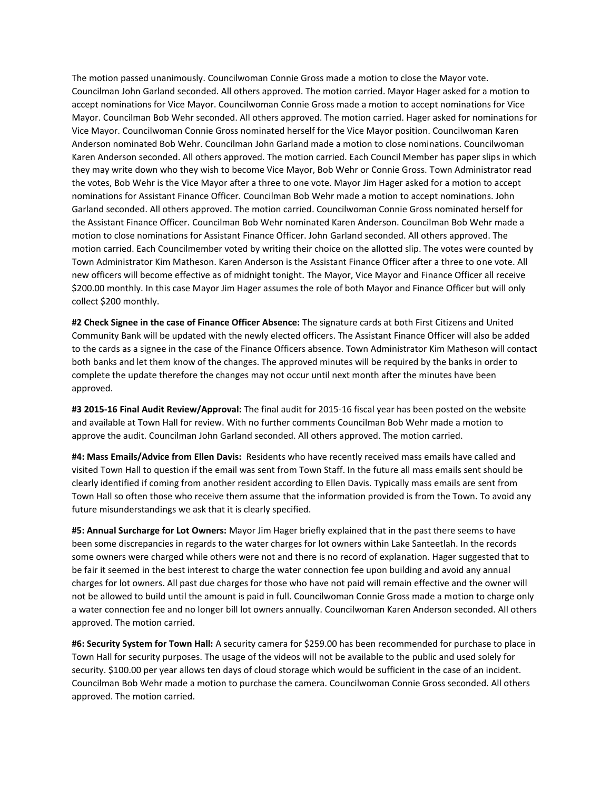The motion passed unanimously. Councilwoman Connie Gross made a motion to close the Mayor vote. Councilman John Garland seconded. All others approved. The motion carried. Mayor Hager asked for a motion to accept nominations for Vice Mayor. Councilwoman Connie Gross made a motion to accept nominations for Vice Mayor. Councilman Bob Wehr seconded. All others approved. The motion carried. Hager asked for nominations for Vice Mayor. Councilwoman Connie Gross nominated herself for the Vice Mayor position. Councilwoman Karen Anderson nominated Bob Wehr. Councilman John Garland made a motion to close nominations. Councilwoman Karen Anderson seconded. All others approved. The motion carried. Each Council Member has paper slips in which they may write down who they wish to become Vice Mayor, Bob Wehr or Connie Gross. Town Administrator read the votes, Bob Wehr is the Vice Mayor after a three to one vote. Mayor Jim Hager asked for a motion to accept nominations for Assistant Finance Officer. Councilman Bob Wehr made a motion to accept nominations. John Garland seconded. All others approved. The motion carried. Councilwoman Connie Gross nominated herself for the Assistant Finance Officer. Councilman Bob Wehr nominated Karen Anderson. Councilman Bob Wehr made a motion to close nominations for Assistant Finance Officer. John Garland seconded. All others approved. The motion carried. Each Councilmember voted by writing their choice on the allotted slip. The votes were counted by Town Administrator Kim Matheson. Karen Anderson is the Assistant Finance Officer after a three to one vote. All new officers will become effective as of midnight tonight. The Mayor, Vice Mayor and Finance Officer all receive \$200.00 monthly. In this case Mayor Jim Hager assumes the role of both Mayor and Finance Officer but will only collect \$200 monthly.

**#2 Check Signee in the case of Finance Officer Absence:** The signature cards at both First Citizens and United Community Bank will be updated with the newly elected officers. The Assistant Finance Officer will also be added to the cards as a signee in the case of the Finance Officers absence. Town Administrator Kim Matheson will contact both banks and let them know of the changes. The approved minutes will be required by the banks in order to complete the update therefore the changes may not occur until next month after the minutes have been approved.

**#3 2015-16 Final Audit Review/Approval:** The final audit for 2015-16 fiscal year has been posted on the website and available at Town Hall for review. With no further comments Councilman Bob Wehr made a motion to approve the audit. Councilman John Garland seconded. All others approved. The motion carried.

**#4: Mass Emails/Advice from Ellen Davis:** Residents who have recently received mass emails have called and visited Town Hall to question if the email was sent from Town Staff. In the future all mass emails sent should be clearly identified if coming from another resident according to Ellen Davis. Typically mass emails are sent from Town Hall so often those who receive them assume that the information provided is from the Town. To avoid any future misunderstandings we ask that it is clearly specified.

**#5: Annual Surcharge for Lot Owners:** Mayor Jim Hager briefly explained that in the past there seems to have been some discrepancies in regards to the water charges for lot owners within Lake Santeetlah. In the records some owners were charged while others were not and there is no record of explanation. Hager suggested that to be fair it seemed in the best interest to charge the water connection fee upon building and avoid any annual charges for lot owners. All past due charges for those who have not paid will remain effective and the owner will not be allowed to build until the amount is paid in full. Councilwoman Connie Gross made a motion to charge only a water connection fee and no longer bill lot owners annually. Councilwoman Karen Anderson seconded. All others approved. The motion carried.

**#6: Security System for Town Hall:** A security camera for \$259.00 has been recommended for purchase to place in Town Hall for security purposes. The usage of the videos will not be available to the public and used solely for security. \$100.00 per year allows ten days of cloud storage which would be sufficient in the case of an incident. Councilman Bob Wehr made a motion to purchase the camera. Councilwoman Connie Gross seconded. All others approved. The motion carried.